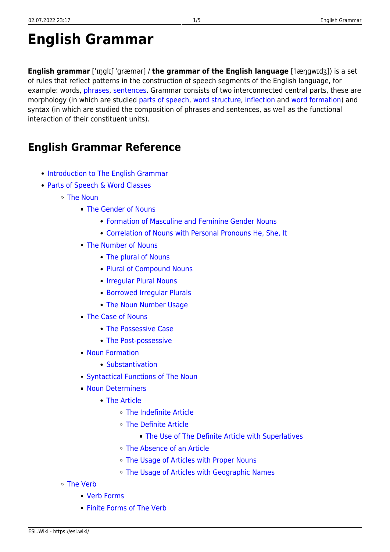## **English Grammar**

**English grammar** [ˈɪŋglɪʃ ˈgræmər] / **the grammar of the English language** [ˈlæŋgwɪdʒ]) is a set of rules that reflect patterns in the construction of speech segments of the English language, for example: words, [phrases,](https://esl.wiki/en/grammar/phrase) [sentences.](https://esl.wiki/en/grammar/sentence) Grammar consists of two interconnected central parts, these are morphology (in which are studied [parts of speech,](https://esl.wiki/en/grammar/word_classes) [word structure,](https://esl.wiki/en/grammar/word_parts) [inflection](https://esl.wiki/en/grammar/inflection) and [word formation\)](https://esl.wiki/en/grammar/word_formation) and syntax (in which are studied the composition of phrases and sentences, as well as the functional interaction of their constituent units).

## **English Grammar Reference**

- [Introduction to The English Grammar](https://esl.wiki/en/grammar/introduction_to_english_grammar)
- [Parts of Speech & Word Classes](https://esl.wiki/en/grammar/word_classes)
	- [The Noun](https://esl.wiki/en/grammar/noun)
		- [The Gender of Nouns](https://esl.wiki/en/grammar/gender_of_nouns)
			- [Formation of Masculine and Feminine Gender Nouns](https://esl.wiki/en/grammar/formation_of_masculine_feminine_nouns)
			- [Correlation of Nouns with Personal Pronouns He, She, It](https://esl.wiki/en/grammar/personification_with_he_she)
		- [The Number of Nouns](https://esl.wiki/en/grammar/number_of_nouns)
			- [The plural of Nouns](https://esl.wiki/en/grammar/plural_nouns)
			- [Plural of Compound Nouns](https://esl.wiki/en/grammar/plural_of_compound_nouns)
			- [Irregular Plural Nouns](https://esl.wiki/en/grammar/irregular_plurals)
			- [Borrowed Irregular Plurals](https://esl.wiki/en/grammar/plural_of_foreign_words)
			- [The Noun Number Usage](https://esl.wiki/en/grammar/noun_number_usage)
		- [The Case of Nouns](https://esl.wiki/en/grammar/case)
			- [The Possessive Case](https://esl.wiki/en/grammar/possessive_case)
			- [The Post-possessive](https://esl.wiki/en/grammar/post-possessive)
		- **[Noun Formation](https://esl.wiki/en/grammar/noun_formation)** 
			- [Substantivation](https://esl.wiki/en/grammar/substantivation)
		- [Syntactical Functions of The Noun](https://esl.wiki/en/grammar/noun_functions)
		- **[Noun Determiners](https://esl.wiki/en/grammar/determiner)** 
			- [The Article](https://esl.wiki/en/grammar/article)
				- [The Indefinite Article](https://esl.wiki/en/grammar/indefinite_article)
				- [The Definite Article](https://esl.wiki/en/grammar/definite_article)
					- [The Use of The Definite Article with Superlatives](https://esl.wiki/en/grammar/the_with_superlatives)
				- [The Absence of an Article](https://esl.wiki/en/grammar/absence_of_article)
				- [The Usage of Articles with Proper Nouns](https://esl.wiki/en/grammar/use_of_articles_with_proper_nouns)
				- o [The Usage of Articles with Geographic Names](https://esl.wiki/en/grammar/use_of_articles_with_geographic_names)
	- [The Verb](https://esl.wiki/en/grammar/verb)
		- [Verb Forms](https://esl.wiki/en/grammar/verb_forms)
		- **[Finite Forms of The Verb](https://esl.wiki/en/grammar/finite_verb)**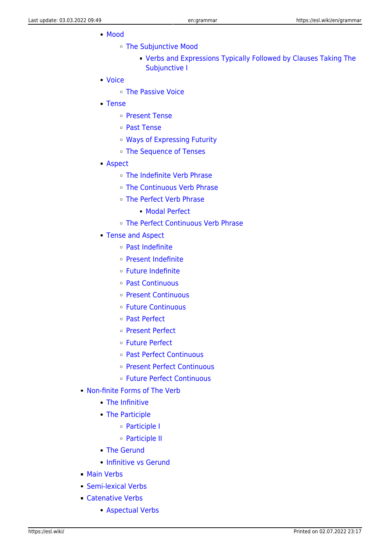- [Mood](https://esl.wiki/en/grammar/mood)
	- [The Subjunctive Mood](https://esl.wiki/en/grammar/subjunctive_mood)
		- [Verbs and Expressions Typically Followed by Clauses Taking The](https://esl.wiki/en/grammar/verbs_and_expressions_followed_subjunctive_i) [Subjunctive I](https://esl.wiki/en/grammar/verbs_and_expressions_followed_subjunctive_i)
- [Voice](https://esl.wiki/en/grammar/voice)
	- [The Passive Voice](https://esl.wiki/en/grammar/passive_voice)
- [Tense](https://esl.wiki/en/grammar/tense)
	- [Present Tense](https://esl.wiki/en/grammar/present_tense)
	- [Past Tense](https://esl.wiki/en/grammar/past_tense)
	- [Ways of Expressing Futurity](https://esl.wiki/en/grammar/future_tense)
	- [The Sequence of Tenses](https://esl.wiki/en/grammar/sequence_of_tenses)
- [Aspect](https://esl.wiki/en/grammar/aspect)
	- [The Indefinite Verb Phrase](https://esl.wiki/en/grammar/indefinite_aspect)
	- [The Continuous Verb Phrase](https://esl.wiki/en/grammar/continuous_aspect)
	- [The Perfect Verb Phrase](https://esl.wiki/en/grammar/perfect_aspect)
		- [Modal Perfect](https://esl.wiki/en/grammar/modal_perfect)
	- [The Perfect Continuous Verb Phrase](https://esl.wiki/en/grammar/perfect_continuous_aspect)
- [Tense and Aspect](https://esl.wiki/en/grammar/tense_and_aspect)
	- [Past Indefinite](https://esl.wiki/en/grammar/past_indefinite)
	- [Present Indefinite](https://esl.wiki/en/grammar/present_indefinite)
	- [Future Indefinite](https://esl.wiki/en/grammar/future_indefinite)
	- [Past Continuous](https://esl.wiki/en/grammar/past_continuous)
	- [Present Continuous](https://esl.wiki/en/grammar/present_continuous)
	- [Future Continuous](https://esl.wiki/en/grammar/future_continuous)
	- [Past Perfect](https://esl.wiki/en/grammar/past_perfect)
	- [Present Perfect](https://esl.wiki/en/grammar/present_perfect)
	- [Future Perfect](https://esl.wiki/en/grammar/future_perfect)
	- [Past Perfect Continuous](https://esl.wiki/en/grammar/past_perfect_continuous)
	- [Present Perfect Continuous](https://esl.wiki/en/grammar/present_perfect_continuous)
	- [Future Perfect Continuous](https://esl.wiki/en/grammar/future_perfect_continuous)
- [Non-finite Forms of The Verb](https://esl.wiki/en/grammar/non-finite_verb)
	- [The Infinitive](https://esl.wiki/en/grammar/infinitive)
	- [The Participle](https://esl.wiki/en/grammar/participle)
		- [Participle I](https://esl.wiki/en/grammar/participle_i)
		- [Participle II](https://esl.wiki/en/grammar/participle_ii)
	- [The Gerund](https://esl.wiki/en/grammar/gerund)
	- [Infinitive vs Gerund](https://esl.wiki/en/grammar/infinitive_vs_gerund)
- **[Main Verbs](https://esl.wiki/en/grammar/main_verb)**
- [Semi-lexical Verbs](https://esl.wiki/en/grammar/light_verb)
- **[Catenative Verbs](https://esl.wiki/en/grammar/catenative_verb)** 
	- [Aspectual Verbs](https://esl.wiki/en/grammar/aspectual_verb)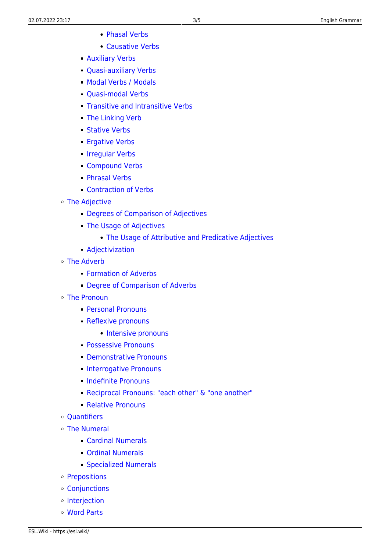- [Phasal Verbs](https://esl.wiki/en/grammar/phasal_verb)
- [Causative Verbs](https://esl.wiki/en/grammar/causative_verb)
- [Auxiliary Verbs](https://esl.wiki/en/grammar/auxiliary_verb)
- [Quasi-auxiliary Verbs](https://esl.wiki/en/grammar/quasi-auxiliary_verb)
- [Modal Verbs / Modals](https://esl.wiki/en/grammar/modal_verb)
- **Cuasi-modal Verbs**
- **[Transitive and Intransitive Verbs](https://esl.wiki/en/grammar/transitive_and_intransitive_verbs)**
- [The Linking Verb](https://esl.wiki/en/grammar/linking_verb)
- [Stative Verbs](https://esl.wiki/en/grammar/stative_verb)
- **[Ergative Verbs](https://esl.wiki/en/grammar/ergative_verb)**
- [Irregular Verbs](https://esl.wiki/en/grammar/irregular_verb)
- [Compound Verbs](https://esl.wiki/en/grammar/compound_verb)
- [Phrasal Verbs](https://esl.wiki/en/grammar/phrasal_verb)
- [Contraction of Verbs](https://esl.wiki/en/grammar/contraction_of_verbs)
- [The Adjective](https://esl.wiki/en/grammar/adjective)
	- **[Degrees of Comparison of Adjectives](https://esl.wiki/en/grammar/degree_of_comparison)**
	- [The Usage of Adjectives](https://esl.wiki/en/grammar/usage_of_adjectives)
		- [The Usage of Attributive and Predicative Adjectives](https://esl.wiki/en/grammar/attributive_and_predicative_adjectives)
	- [Adjectivization](https://esl.wiki/en/grammar/adjectivization)
- [The Adverb](https://esl.wiki/en/grammar/adverb)
	- **[Formation of Adverbs](https://esl.wiki/en/grammar/formation_of_adverb)**
	- **[Degree of Comparison of Adverbs](https://esl.wiki/en/grammar/degree_of_comparison)**
- [The Pronoun](https://esl.wiki/en/grammar/pronoun)
	- [Personal Pronouns](https://esl.wiki/en/grammar/personal_pronoun)
	- **[Reflexive pronouns](https://esl.wiki/en/grammar/reflexive_pronoun)** 
		- [Intensive pronouns](https://esl.wiki/en/grammar/intensive_pronoun)
	- **[Possessive Pronouns](https://esl.wiki/en/grammar/possessive_pronoun)**
	- [Demonstrative Pronouns](https://esl.wiki/en/grammar/demonstrative_pronoun)
	- **[Interrogative Pronouns](https://esl.wiki/en/grammar/interrogative_pronoun)**
	- [Indefinite Pronouns](https://esl.wiki/en/grammar/indefinite_pronoun)
	- [Reciprocal Pronouns: "each other" & "one another"](https://esl.wiki/en/grammar/reciprocal_pronoun)
	- [Relative Pronouns](https://esl.wiki/en/grammar/relative_pronoun)
- Ouantifiers
- [The Numeral](https://esl.wiki/en/grammar/numeral)
	- [Cardinal Numerals](https://esl.wiki/en/grammar/cardinal_numeral)
	- [Ordinal Numerals](https://esl.wiki/en/grammar/ordinal_numeral)
	- [Specialized Numerals](https://esl.wiki/en/grammar/specialized_numerals)
- o [Prepositions](https://esl.wiki/en/grammar/preposition)
- [Conjunctions](https://esl.wiki/en/grammar/conjunction)
- o [Interjection](https://esl.wiki/en/grammar/interjection)
- [Word Parts](https://esl.wiki/en/grammar/word_parts)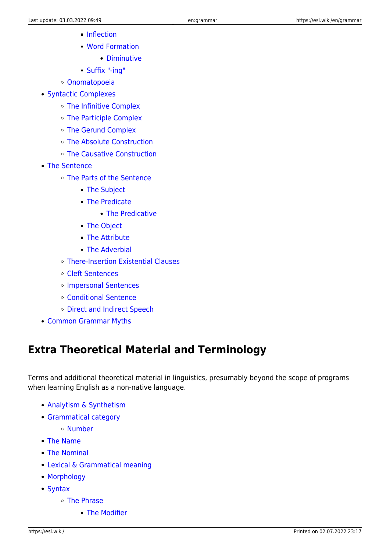- [Inflection](https://esl.wiki/en/grammar/inflection)
- [Word Formation](https://esl.wiki/en/grammar/word_formation)
	- [Diminutive](https://esl.wiki/en/grammar/diminutive)
- [Suffix "-ing"](https://esl.wiki/en/grammar/ing)
- [Onomatopoeia](https://esl.wiki/en/grammar/onomatopoeia)
- [Syntactic Complexes](https://esl.wiki/en/grammar/syntactic_complexes)
	- [The Infinitive Complex](https://esl.wiki/en/grammar/infinitive_complex)
	- [The Participle Complex](https://esl.wiki/en/grammar/participle_complex)
	- [The Gerund Complex](https://esl.wiki/en/grammar/gerund_complex)
	- [The Absolute Construction](https://esl.wiki/en/grammar/absolute_construction)
	- [The Causative Construction](https://esl.wiki/en/grammar/causative_construction)
- [The Sentence](https://esl.wiki/en/grammar/sentence)
	- [The Parts of the Sentence](https://esl.wiki/en/grammar/sentence_element)
		- **[The Subject](https://esl.wiki/en/grammar/subject)**
		- [The Predicate](https://esl.wiki/en/grammar/predicate)
			- [The Predicative](https://esl.wiki/en/grammar/predicative)
		- [The Object](https://esl.wiki/en/grammar/object)
		- **[The Attribute](https://esl.wiki/en/grammar/attribute)**
		- **[The Adverbial](https://esl.wiki/en/grammar/adverbial_modifier)**
	- [There-Insertion Existential Clauses](https://esl.wiki/en/grammar/there-insertion)
	- [Cleft Sentences](https://esl.wiki/en/grammar/cleft_sentence)
	- [Impersonal Sentences](https://esl.wiki/en/grammar/impersonal_sentences)
	- [Conditional Sentence](https://esl.wiki/en/grammar/conditional_sentence)
	- [Direct and Indirect Speech](https://esl.wiki/en/grammar/direct_and_indirect_speech)
- [Common Grammar Myths](https://esl.wiki/en/grammar/grammar_myths)

## **Extra Theoretical Material and Terminology**

Terms and additional theoretical material in linguistics, presumably beyond the scope of programs when learning English as a non-native language.

- [Analytism & Synthetism](https://esl.wiki/en/grammar/analytism_and_synthetism)
- [Grammatical category](https://esl.wiki/en/grammar/grammatical_category)
	- [Number](https://esl.wiki/en/grammar/number)
- [The Name](https://esl.wiki/en/grammar/name)
- [The Nominal](https://esl.wiki/en/grammar/nominal)
- [Lexical & Grammatical meaning](https://esl.wiki/en/grammar/lexical_and_grammatical_meaning)
- [Morphology](https://esl.wiki/en/grammar/morphology)
- [Syntax](https://esl.wiki/en/grammar/syntax)
	- [The Phrase](https://esl.wiki/en/grammar/phrase)
		- **[The Modifier](https://esl.wiki/en/grammar/modifier)**